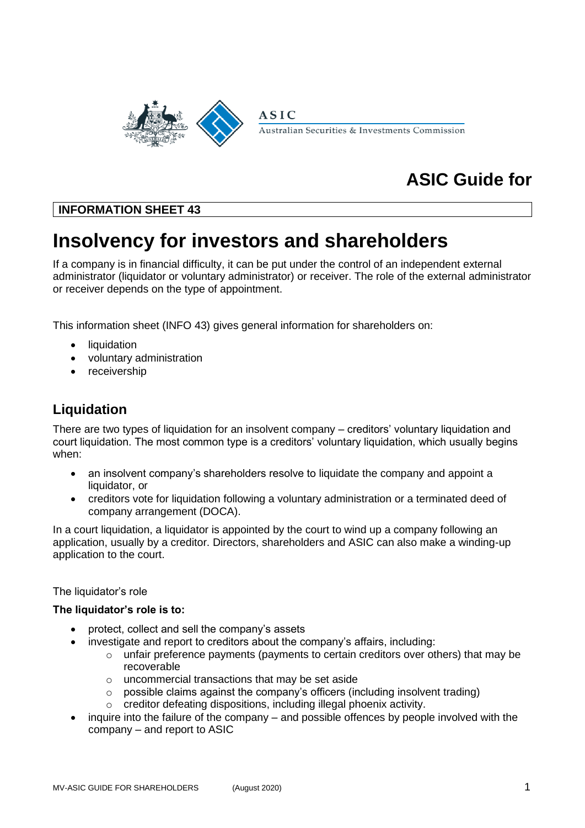

# **ASIC Guide for**

# **INFORMATION SHEET 43**

# **Insolvency for investors and shareholders**

If a company is in financial difficulty, it can be put under the control of an independent external administrator (liquidator or voluntary administrator) or receiver. The role of the external administrator or receiver depends on the type of appointment.

This information sheet (INFO 43) gives general information for shareholders on:

- **liquidation**
- voluntary administration
- receivership

# **Liquidation**

There are two types of liquidation for an insolvent company – creditors' voluntary liquidation and court liquidation. The most common type is a creditors' voluntary liquidation, which usually begins when:

- an insolvent company's shareholders resolve to liquidate the company and appoint a liquidator, or
- creditors vote for liquidation following a voluntary administration or a terminated deed of company arrangement (DOCA).

In a court liquidation, a liquidator is appointed by the court to wind up a company following an application, usually by a creditor. Directors, shareholders and ASIC can also make a winding-up application to the court.

#### The liquidator's role

#### **The liquidator's role is to:**

- protect, collect and sell the company's assets
- investigate and report to creditors about the company's affairs, including:
	- $\circ$  unfair preference payments (payments to certain creditors over others) that may be recoverable
	- o uncommercial transactions that may be set aside
	- o possible claims against the company's officers (including insolvent trading)
	- o creditor defeating dispositions, including illegal phoenix activity.
- inquire into the failure of the company and possible offences by people involved with the company – and report to ASIC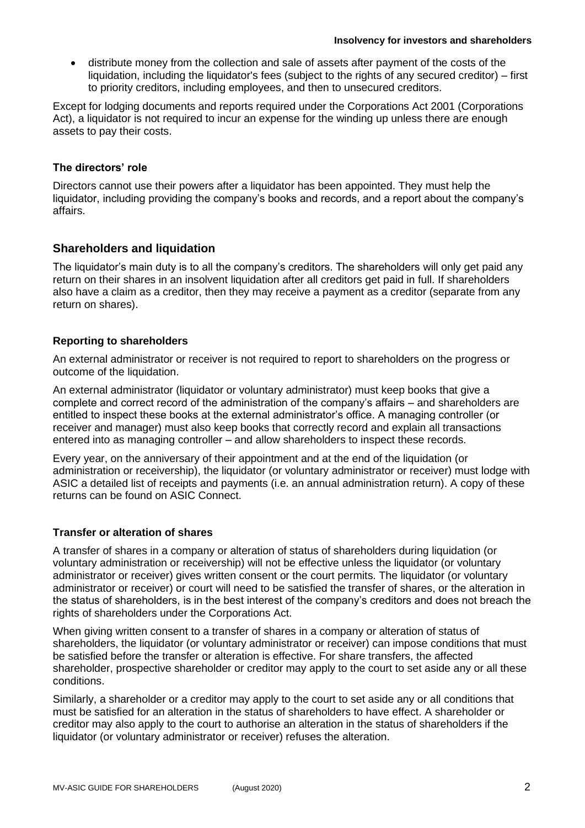• distribute money from the collection and sale of assets after payment of the costs of the liquidation, including the liquidator's fees (subject to the rights of any secured creditor) – first to priority creditors, including employees, and then to unsecured creditors.

Except for lodging documents and reports required under the Corporations Act 2001 (Corporations Act), a liquidator is not required to incur an expense for the winding up unless there are enough assets to pay their costs.

#### **The directors' role**

Directors cannot use their powers after a liquidator has been appointed. They must help the liquidator, including providing the company's books and records, and a report about the company's affairs.

# **Shareholders and liquidation**

The liquidator's main duty is to all the company's creditors. The shareholders will only get paid any return on their shares in an insolvent liquidation after all creditors get paid in full. If shareholders also have a claim as a creditor, then they may receive a payment as a creditor (separate from any return on shares).

#### **Reporting to shareholders**

An external administrator or receiver is not required to report to shareholders on the progress or outcome of the liquidation.

An external administrator (liquidator or voluntary administrator) must keep books that give a complete and correct record of the administration of the company's affairs – and shareholders are entitled to inspect these books at the external administrator's office. A managing controller (or receiver and manager) must also keep books that correctly record and explain all transactions entered into as managing controller – and allow shareholders to inspect these records.

Every year, on the anniversary of their appointment and at the end of the liquidation (or administration or receivership), the liquidator (or voluntary administrator or receiver) must lodge with ASIC a detailed list of receipts and payments (i.e. an annual administration return). A copy of these returns can be found on ASIC Connect.

#### **Transfer or alteration of shares**

A transfer of shares in a company or alteration of status of shareholders during liquidation (or voluntary administration or receivership) will not be effective unless the liquidator (or voluntary administrator or receiver) gives written consent or the court permits. The liquidator (or voluntary administrator or receiver) or court will need to be satisfied the transfer of shares, or the alteration in the status of shareholders, is in the best interest of the company's creditors and does not breach the rights of shareholders under the Corporations Act.

When giving written consent to a transfer of shares in a company or alteration of status of shareholders, the liquidator (or voluntary administrator or receiver) can impose conditions that must be satisfied before the transfer or alteration is effective. For share transfers, the affected shareholder, prospective shareholder or creditor may apply to the court to set aside any or all these conditions.

Similarly, a shareholder or a creditor may apply to the court to set aside any or all conditions that must be satisfied for an alteration in the status of shareholders to have effect. A shareholder or creditor may also apply to the court to authorise an alteration in the status of shareholders if the liquidator (or voluntary administrator or receiver) refuses the alteration.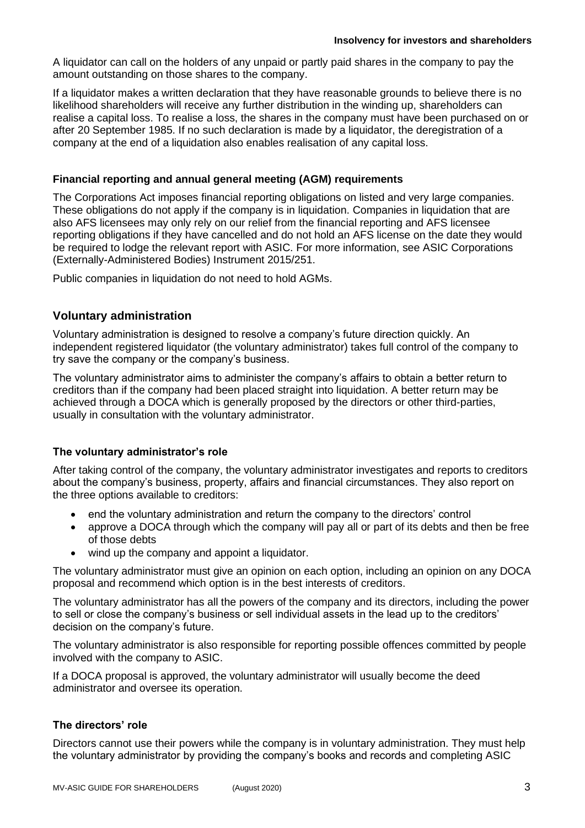A liquidator can call on the holders of any unpaid or partly paid shares in the company to pay the amount outstanding on those shares to the company.

If a liquidator makes a written declaration that they have reasonable grounds to believe there is no likelihood shareholders will receive any further distribution in the winding up, shareholders can realise a capital loss. To realise a loss, the shares in the company must have been purchased on or after 20 September 1985. If no such declaration is made by a liquidator, the deregistration of a company at the end of a liquidation also enables realisation of any capital loss.

### **Financial reporting and annual general meeting (AGM) requirements**

The Corporations Act imposes financial reporting obligations on listed and very large companies. These obligations do not apply if the company is in liquidation. Companies in liquidation that are also AFS licensees may only rely on our relief from the financial reporting and AFS licensee reporting obligations if they have cancelled and do not hold an AFS license on the date they would be required to lodge the relevant report with ASIC. For more information, see ASIC Corporations (Externally-Administered Bodies) Instrument 2015/251.

Public companies in liquidation do not need to hold AGMs.

# **Voluntary administration**

Voluntary administration is designed to resolve a company's future direction quickly. An independent registered liquidator (the voluntary administrator) takes full control of the company to try save the company or the company's business.

The voluntary administrator aims to administer the company's affairs to obtain a better return to creditors than if the company had been placed straight into liquidation. A better return may be achieved through a DOCA which is generally proposed by the directors or other third-parties, usually in consultation with the voluntary administrator.

# **The voluntary administrator's role**

After taking control of the company, the voluntary administrator investigates and reports to creditors about the company's business, property, affairs and financial circumstances. They also report on the three options available to creditors:

- end the voluntary administration and return the company to the directors' control
- approve a DOCA through which the company will pay all or part of its debts and then be free of those debts
- wind up the company and appoint a liquidator.

The voluntary administrator must give an opinion on each option, including an opinion on any DOCA proposal and recommend which option is in the best interests of creditors.

The voluntary administrator has all the powers of the company and its directors, including the power to sell or close the company's business or sell individual assets in the lead up to the creditors' decision on the company's future.

The voluntary administrator is also responsible for reporting possible offences committed by people involved with the company to ASIC.

If a DOCA proposal is approved, the voluntary administrator will usually become the deed administrator and oversee its operation.

#### **The directors' role**

Directors cannot use their powers while the company is in voluntary administration. They must help the voluntary administrator by providing the company's books and records and completing ASIC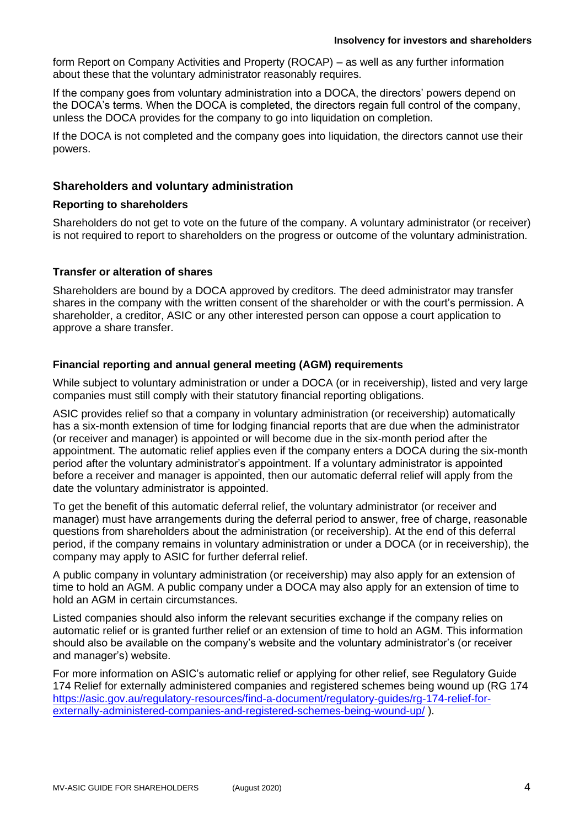form Report on Company Activities and Property (ROCAP) – as well as any further information about these that the voluntary administrator reasonably requires.

If the company goes from voluntary administration into a DOCA, the directors' powers depend on the DOCA's terms. When the DOCA is completed, the directors regain full control of the company, unless the DOCA provides for the company to go into liquidation on completion.

If the DOCA is not completed and the company goes into liquidation, the directors cannot use their powers.

# **Shareholders and voluntary administration**

#### **Reporting to shareholders**

Shareholders do not get to vote on the future of the company. A voluntary administrator (or receiver) is not required to report to shareholders on the progress or outcome of the voluntary administration.

# **Transfer or alteration of shares**

Shareholders are bound by a DOCA approved by creditors. The deed administrator may transfer shares in the company with the written consent of the shareholder or with the court's permission. A shareholder, a creditor, ASIC or any other interested person can oppose a court application to approve a share transfer.

# **Financial reporting and annual general meeting (AGM) requirements**

While subject to voluntary administration or under a DOCA (or in receivership), listed and very large companies must still comply with their statutory financial reporting obligations.

ASIC provides relief so that a company in voluntary administration (or receivership) automatically has a six-month extension of time for lodging financial reports that are due when the administrator (or receiver and manager) is appointed or will become due in the six-month period after the appointment. The automatic relief applies even if the company enters a DOCA during the six-month period after the voluntary administrator's appointment. If a voluntary administrator is appointed before a receiver and manager is appointed, then our automatic deferral relief will apply from the date the voluntary administrator is appointed.

To get the benefit of this automatic deferral relief, the voluntary administrator (or receiver and manager) must have arrangements during the deferral period to answer, free of charge, reasonable questions from shareholders about the administration (or receivership). At the end of this deferral period, if the company remains in voluntary administration or under a DOCA (or in receivership), the company may apply to ASIC for further deferral relief.

A public company in voluntary administration (or receivership) may also apply for an extension of time to hold an AGM. A public company under a DOCA may also apply for an extension of time to hold an AGM in certain circumstances.

Listed companies should also inform the relevant securities exchange if the company relies on automatic relief or is granted further relief or an extension of time to hold an AGM. This information should also be available on the company's website and the voluntary administrator's (or receiver and manager's) website.

For more information on ASIC's automatic relief or applying for other relief, see Regulatory Guide 174 Relief for externally administered companies and registered schemes being wound up (RG 174 [https://asic.gov.au/regulatory-resources/find-a-document/regulatory-guides/rg-174-relief-for](https://asic.gov.au/regulatory-resources/find-a-document/regulatory-guides/rg-174-relief-for-externally-administered-companies-and-registered-schemes-being-wound-up/)[externally-administered-companies-and-registered-schemes-being-wound-up/](https://asic.gov.au/regulatory-resources/find-a-document/regulatory-guides/rg-174-relief-for-externally-administered-companies-and-registered-schemes-being-wound-up/) ).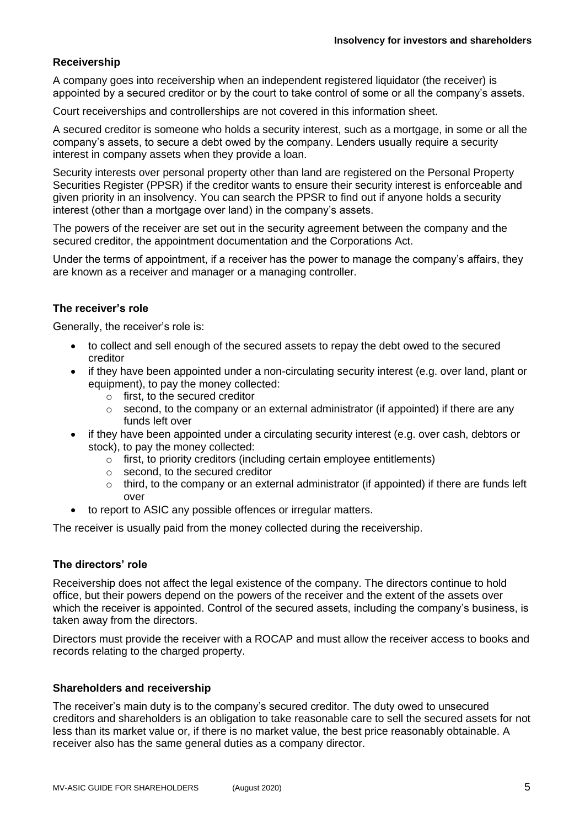# **Receivership**

A company goes into receivership when an independent registered liquidator (the receiver) is appointed by a secured creditor or by the court to take control of some or all the company's assets.

Court receiverships and controllerships are not covered in this information sheet.

A secured creditor is someone who holds a security interest, such as a mortgage, in some or all the company's assets, to secure a debt owed by the company. Lenders usually require a security interest in company assets when they provide a loan.

Security interests over personal property other than land are registered on the Personal Property Securities Register (PPSR) if the creditor wants to ensure their security interest is enforceable and given priority in an insolvency. You can search the PPSR to find out if anyone holds a security interest (other than a mortgage over land) in the company's assets.

The powers of the receiver are set out in the security agreement between the company and the secured creditor, the appointment documentation and the Corporations Act.

Under the terms of appointment, if a receiver has the power to manage the company's affairs, they are known as a receiver and manager or a managing controller.

#### **The receiver's role**

Generally, the receiver's role is:

- to collect and sell enough of the secured assets to repay the debt owed to the secured creditor
- if they have been appointed under a non-circulating security interest (e.g. over land, plant or equipment), to pay the money collected:
	- o first, to the secured creditor
	- $\circ$  second, to the company or an external administrator (if appointed) if there are any funds left over
- if they have been appointed under a circulating security interest (e.g. over cash, debtors or stock), to pay the money collected:
	- o first, to priority creditors (including certain employee entitlements)
	- o second, to the secured creditor
	- $\circ$  third, to the company or an external administrator (if appointed) if there are funds left over
- to report to ASIC any possible offences or irregular matters.

The receiver is usually paid from the money collected during the receivership.

#### **The directors' role**

Receivership does not affect the legal existence of the company. The directors continue to hold office, but their powers depend on the powers of the receiver and the extent of the assets over which the receiver is appointed. Control of the secured assets, including the company's business, is taken away from the directors.

Directors must provide the receiver with a ROCAP and must allow the receiver access to books and records relating to the charged property.

#### **Shareholders and receivership**

The receiver's main duty is to the company's secured creditor. The duty owed to unsecured creditors and shareholders is an obligation to take reasonable care to sell the secured assets for not less than its market value or, if there is no market value, the best price reasonably obtainable. A receiver also has the same general duties as a company director.